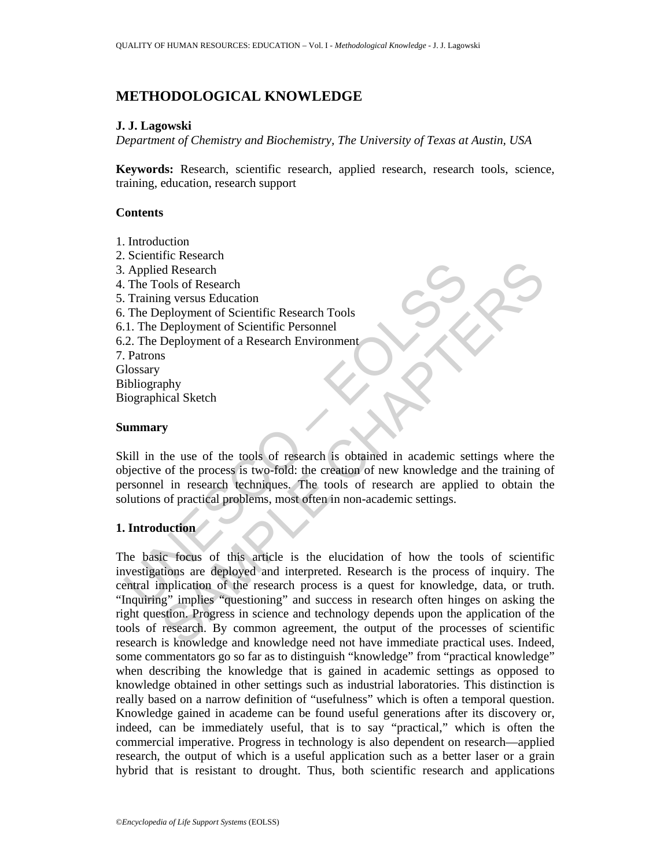# **METHODOLOGICAL KNOWLEDGE**

### **J. J. Lagowski**

*Department of Chemistry and Biochemistry, The University of Texas at Austin, USA* 

**Keywords:** Research, scientific research, applied research, research tools, science, training, education, research support

### **Contents**

- 1. Introduction
- Applied Research<br>
The Tools of Research<br>
Training versus Education<br>
The Deployment of Scientific Research Tools<br>
1. The Deployment of Scientific Personnel<br>
2. The Deployment of a Research Environment<br>
Patrons<br>
2. The Deplo 2. Scientific Research 3. Applied Research 4. The Tools of Research 5. Training versus Education 6. The Deployment of Scientific Research Tools 6.1. The Deployment of Scientific Personnel 6.2. The Deployment of a Research Environment 7. Patrons Glossary Bibliography Biographical Sketch

#### **Summary**

Skill in the use of the tools of research is obtained in academic settings where the objective of the process is two-fold: the creation of new knowledge and the training of personnel in research techniques. The tools of research are applied to obtain the solutions of practical problems, most often in non-academic settings.

# **1. Introduction**

The Movemetrical states and the ends of the state of the and the states and the states and the states of the states of the states of the tools of research Environment<br>
Say the use of the tools of research is obtained in ac The basic focus of this article is the elucidation of how the tools of scientific investigations are deployed and interpreted. Research is the process of inquiry. The central implication of the research process is a quest for knowledge, data, or truth. "Inquiring" implies "questioning" and success in research often hinges on asking the right question. Progress in science and technology depends upon the application of the tools of research. By common agreement, the output of the processes of scientific research is knowledge and knowledge need not have immediate practical uses. Indeed, some commentators go so far as to distinguish "knowledge" from "practical knowledge" when describing the knowledge that is gained in academic settings as opposed to knowledge obtained in other settings such as industrial laboratories. This distinction is really based on a narrow definition of "usefulness" which is often a temporal question. Knowledge gained in academe can be found useful generations after its discovery or, indeed, can be immediately useful, that is to say "practical," which is often the commercial imperative. Progress in technology is also dependent on research—applied research, the output of which is a useful application such as a better laser or a grain hybrid that is resistant to drought. Thus, both scientific research and applications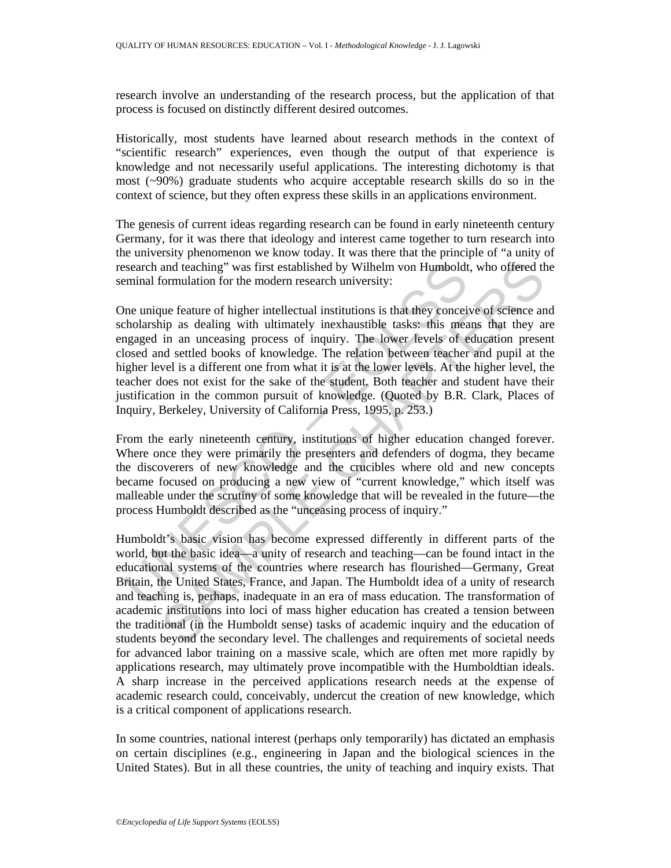research involve an understanding of the research process, but the application of that process is focused on distinctly different desired outcomes.

Historically, most students have learned about research methods in the context of "scientific research" experiences, even though the output of that experience is knowledge and not necessarily useful applications. The interesting dichotomy is that most (~90%) graduate students who acquire acceptable research skills do so in the context of science, but they often express these skills in an applications environment.

The genesis of current ideas regarding research can be found in early nineteenth century Germany, for it was there that ideology and interest came together to turn research into the university phenomenon we know today. It was there that the principle of "a unity of research and teaching" was first established by Wilhelm von Humboldt, who offered the seminal formulation for the modern research university:

search and teaching" was first established by Wilhelm von Humboldt<br>eminal formulation for the modern research university:<br>the unique feature of higher intellectual institutions is that they concei<br>cholarship as dealing wit One unique feature of higher intellectual institutions is that they conceive of science and scholarship as dealing with ultimately inexhaustible tasks: this means that they are engaged in an unceasing process of inquiry. The lower levels of education present closed and settled books of knowledge. The relation between teacher and pupil at the higher level is a different one from what it is at the lower levels. At the higher level, the teacher does not exist for the sake of the student. Both teacher and student have their justification in the common pursuit of knowledge. (Quoted by B.R. Clark, Places of Inquiry, Berkeley, University of California Press, 1995, p. 253.)

From the early nineteenth century, institutions of higher education changed forever. Where once they were primarily the presenters and defenders of dogma, they became the discoverers of new knowledge and the crucibles where old and new concepts became focused on producing a new view of "current knowledge," which itself was malleable under the scrutiny of some knowledge that will be revealed in the future—the process Humboldt described as the "unceasing process of inquiry."

and teaching" was first established by Wilhelm von Humboldt, who offered the<br>formulation for the modern research university:<br>
upe feature of higher intellectual institutions is that they conceive of science an<br>
in as deali Humboldt's basic vision has become expressed differently in different parts of the world, but the basic idea—a unity of research and teaching—can be found intact in the educational systems of the countries where research has flourished—Germany, Great Britain, the United States, France, and Japan. The Humboldt idea of a unity of research and teaching is, perhaps, inadequate in an era of mass education. The transformation of academic institutions into loci of mass higher education has created a tension between the traditional (in the Humboldt sense) tasks of academic inquiry and the education of students beyond the secondary level. The challenges and requirements of societal needs for advanced labor training on a massive scale, which are often met more rapidly by applications research, may ultimately prove incompatible with the Humboldtian ideals. A sharp increase in the perceived applications research needs at the expense of academic research could, conceivably, undercut the creation of new knowledge, which is a critical component of applications research.

In some countries, national interest (perhaps only temporarily) has dictated an emphasis on certain disciplines (e.g., engineering in Japan and the biological sciences in the United States). But in all these countries, the unity of teaching and inquiry exists. That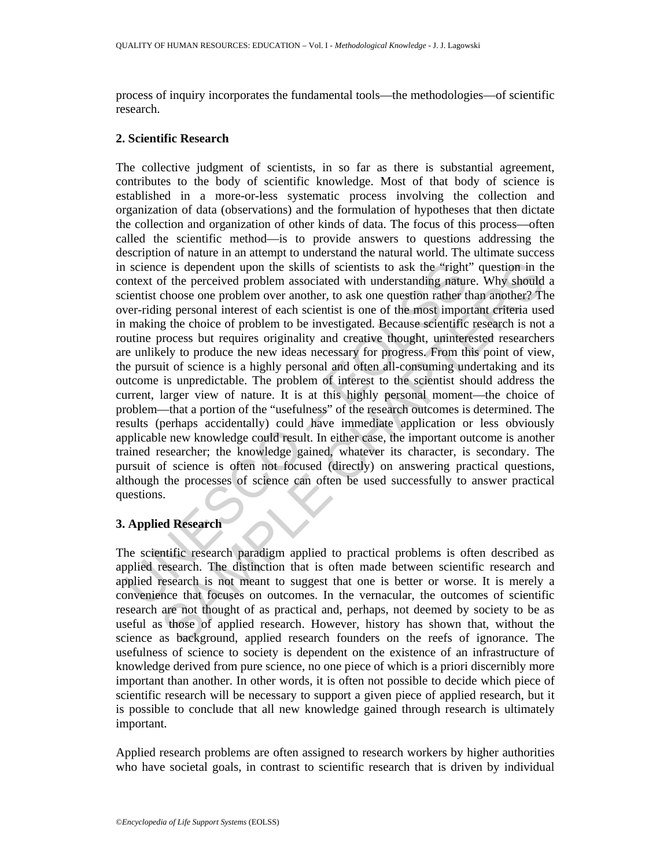process of inquiry incorporates the fundamental tools—the methodologies—of scientific research.

### **2. Scientific Research**

a science is dependent upon the skills of scientists to ask the "right<br>ontext of the perceived problem associated with understanding nature<br>intentit choose one problem over another, to ask one question rather the<br>ver-ridin is dependent upon the skills of scientists to ask the "right" question in the help enceived problem associated with understanding nature. Why should refore to problem over another, to ask one question rather than another? The collective judgment of scientists, in so far as there is substantial agreement, contributes to the body of scientific knowledge. Most of that body of science is established in a more-or-less systematic process involving the collection and organization of data (observations) and the formulation of hypotheses that then dictate the collection and organization of other kinds of data. The focus of this process—often called the scientific method—is to provide answers to questions addressing the description of nature in an attempt to understand the natural world. The ultimate success in science is dependent upon the skills of scientists to ask the "right" question in the context of the perceived problem associated with understanding nature. Why should a scientist choose one problem over another, to ask one question rather than another? The over-riding personal interest of each scientist is one of the most important criteria used in making the choice of problem to be investigated. Because scientific research is not a routine process but requires originality and creative thought, uninterested researchers are unlikely to produce the new ideas necessary for progress. From this point of view, the pursuit of science is a highly personal and often all-consuming undertaking and its outcome is unpredictable. The problem of interest to the scientist should address the current, larger view of nature. It is at this highly personal moment—the choice of problem—that a portion of the "usefulness" of the research outcomes is determined. The results (perhaps accidentally) could have immediate application or less obviously applicable new knowledge could result. In either case, the important outcome is another trained researcher; the knowledge gained, whatever its character, is secondary. The pursuit of science is often not focused (directly) on answering practical questions, although the processes of science can often be used successfully to answer practical questions.

# **3. Applied Research**

The scientific research paradigm applied to practical problems is often described as applied research. The distinction that is often made between scientific research and applied research is not meant to suggest that one is better or worse. It is merely a convenience that focuses on outcomes. In the vernacular, the outcomes of scientific research are not thought of as practical and, perhaps, not deemed by society to be as useful as those of applied research. However, history has shown that, without the science as background, applied research founders on the reefs of ignorance. The usefulness of science to society is dependent on the existence of an infrastructure of knowledge derived from pure science, no one piece of which is a priori discernibly more important than another. In other words, it is often not possible to decide which piece of scientific research will be necessary to support a given piece of applied research, but it is possible to conclude that all new knowledge gained through research is ultimately important.

Applied research problems are often assigned to research workers by higher authorities who have societal goals, in contrast to scientific research that is driven by individual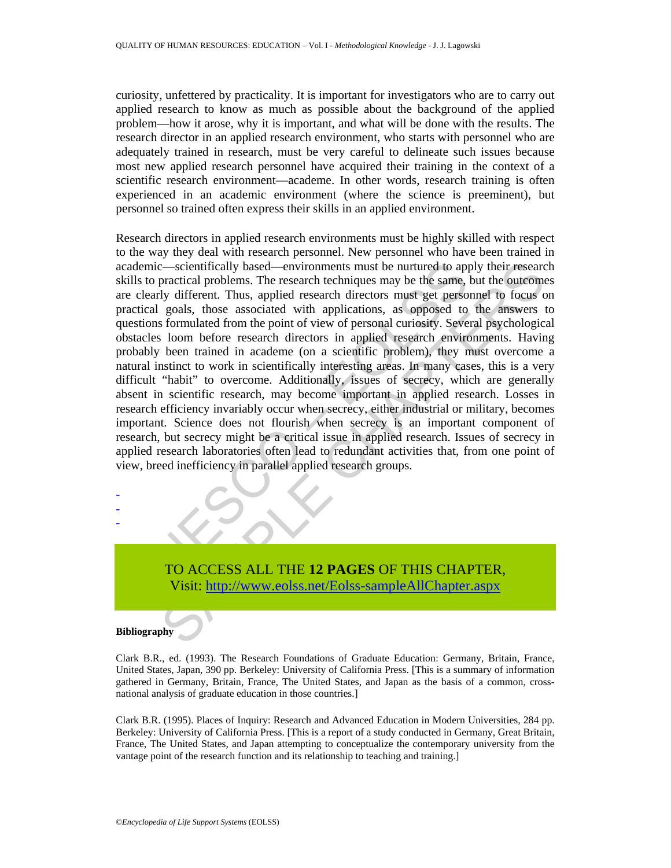curiosity, unfettered by practicality. It is important for investigators who are to carry out applied research to know as much as possible about the background of the applied problem—how it arose, why it is important, and what will be done with the results. The research director in an applied research environment, who starts with personnel who are adequately trained in research, must be very careful to delineate such issues because most new applied research personnel have acquired their training in the context of a scientific research environment—academe. In other words, research training is often experienced in an academic environment (where the science is preeminent), but personnel so trained often express their skills in an applied environment.

cademic—scientifically based—environments must be nurtured to applied reademic—scientifically based—environments must be nurtured to applied ready different. Thus, applied research directors must get personal curios accord contribually based—environments must be nurtured to apply their researct<br>correctional problems. The research techniques may be the same, but the outeromore<br>individually different. Thus, applied research directors must get Research directors in applied research environments must be highly skilled with respect to the way they deal with research personnel. New personnel who have been trained in academic—scientifically based—environments must be nurtured to apply their research skills to practical problems. The research techniques may be the same, but the outcomes are clearly different. Thus, applied research directors must get personnel to focus on practical goals, those associated with applications, as opposed to the answers to questions formulated from the point of view of personal curiosity. Several psychological obstacles loom before research directors in applied research environments. Having probably been trained in academe (on a scientific problem), they must overcome a natural instinct to work in scientifically interesting areas. In many cases, this is a very difficult "habit" to overcome. Additionally, issues of secrecy, which are generally absent in scientific research, may become important in applied research. Losses in research efficiency invariably occur when secrecy, either industrial or military, becomes important. Science does not flourish when secrecy is an important component of research, but secrecy might be a critical issue in applied research. Issues of secrecy in applied research laboratories often lead to redundant activities that, from one point of view, breed inefficiency in parallel applied research groups.

TO ACCESS ALL THE **12 PAGES** OF THIS CHAPTER, Visit: http://www.eolss.net/Eolss-sampleAllChapter.aspx

#### **Bibliography**

- - -

Clark B.R., ed. (1993). The Research Foundations of Graduate Education: Germany, Britain, France, United States, Japan, 390 pp. Berkeley: University of California Press. [This is a summary of information gathered in Germany, Britain, France, The United States, and Japan as the basis of a common, crossnational analysis of graduate education in those countries.]

Clark B.R. (1995). Places of Inquiry: Research and Advanced Education in Modern Universities, 284 pp. Berkeley: University of California Press. [This is a report of a study conducted in Germany, Great Britain, France, The United States, and Japan attempting to conceptualize the contemporary university from the vantage point of the research function and its relationship to teaching and training.]